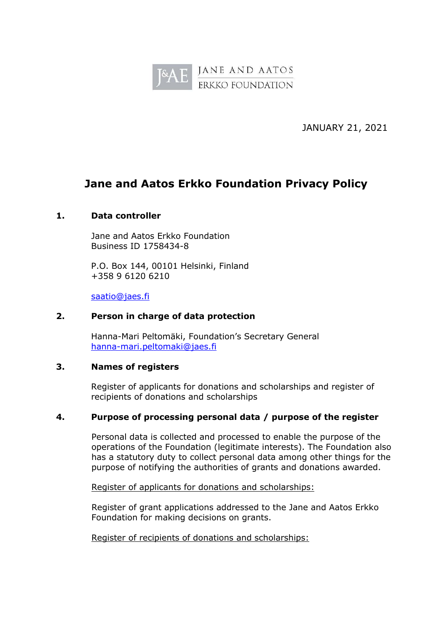

JANUARY 21, 2021

# **Jane and Aatos Erkko Foundation Privacy Policy**

## **1. Data controller**

Jane and Aatos Erkko Foundation Business ID 1758434-8

P.O. Box 144, 00101 Helsinki, Finland +358 9 6120 6210

[saatio@jaes.fi](mailto:saatio@jaes.fi)

#### **2. Person in charge of data protection**

Hanna-Mari Peltomäki, Foundation's Secretary General [hanna-mari.peltomaki@jaes.fi](mailto:hanna-mari.peltomaki@jaes.fi)

#### **3. Names of registers**

Register of applicants for donations and scholarships and register of recipients of donations and scholarships

## **4. Purpose of processing personal data / purpose of the register**

Personal data is collected and processed to enable the purpose of the operations of the Foundation (legitimate interests). The Foundation also has a statutory duty to collect personal data among other things for the purpose of notifying the authorities of grants and donations awarded.

Register of applicants for donations and scholarships:

Register of grant applications addressed to the Jane and Aatos Erkko Foundation for making decisions on grants.

Register of recipients of donations and scholarships: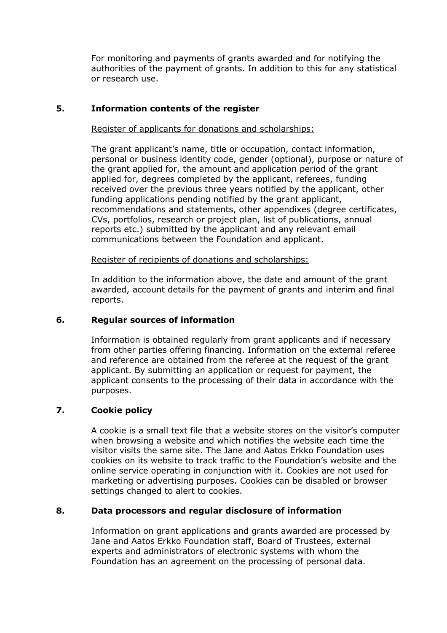For monitoring and payments of grants awarded and for notifying the authorities of the payment of grants. In addition to this for any statistical or research use.

## **5. Information contents of the register**

Register of applicants for donations and scholarships:

The grant applicant's name, title or occupation, contact information, personal or business identity code, gender (optional), purpose or nature of the grant applied for, the amount and application period of the grant applied for, degrees completed by the applicant, referees, funding received over the previous three years notified by the applicant, other funding applications pending notified by the grant applicant, recommendations and statements, other appendixes (degree certificates, CVs, portfolios, research or project plan, list of publications, annual reports etc.) submitted by the applicant and any relevant email communications between the Foundation and applicant.

Register of recipients of donations and scholarships:

In addition to the information above, the date and amount of the grant awarded, account details for the payment of grants and interim and final reports.

## **6. Regular sources of information**

Information is obtained regularly from grant applicants and if necessary from other parties offering financing. Information on the external referee and reference are obtained from the referee at the request of the grant applicant. By submitting an application or request for payment, the applicant consents to the processing of their data in accordance with the purposes.

## **7. Cookie policy**

A cookie is a small text file that a website stores on the visitor's computer when browsing a website and which notifies the website each time the visitor visits the same site. The Jane and Aatos Erkko Foundation uses cookies on its website to track traffic to the Foundation's website and the online service operating in conjunction with it. Cookies are not used for marketing or advertising purposes. Cookies can be disabled or browser settings changed to alert to cookies.

## **8. Data processors and regular disclosure of information**

Information on grant applications and grants awarded are processed by Jane and Aatos Erkko Foundation staff, Board of Trustees, external experts and administrators of electronic systems with whom the Foundation has an agreement on the processing of personal data.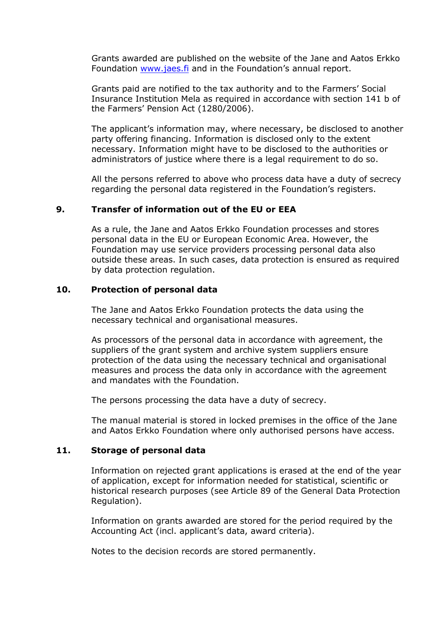Grants awarded are published on the website of the Jane and Aatos Erkko Foundation [www.jaes.fi](http://www.jaes.fi/) and in the Foundation's annual report.

Grants paid are notified to the tax authority and to the Farmers' Social Insurance Institution Mela as required in accordance with section 141 b of the Farmers' Pension Act (1280/2006).

The applicant's information may, where necessary, be disclosed to another party offering financing. Information is disclosed only to the extent necessary. Information might have to be disclosed to the authorities or administrators of justice where there is a legal requirement to do so.

All the persons referred to above who process data have a duty of secrecy regarding the personal data registered in the Foundation's registers.

## **9. Transfer of information out of the EU or EEA**

As a rule, the Jane and Aatos Erkko Foundation processes and stores personal data in the EU or European Economic Area. However, the Foundation may use service providers processing personal data also outside these areas. In such cases, data protection is ensured as required by data protection regulation.

#### **10. Protection of personal data**

The Jane and Aatos Erkko Foundation protects the data using the necessary technical and organisational measures.

As processors of the personal data in accordance with agreement, the suppliers of the grant system and archive system suppliers ensure protection of the data using the necessary technical and organisational measures and process the data only in accordance with the agreement and mandates with the Foundation.

The persons processing the data have a duty of secrecy.

The manual material is stored in locked premises in the office of the Jane and Aatos Erkko Foundation where only authorised persons have access.

#### **11. Storage of personal data**

Information on rejected grant applications is erased at the end of the year of application, except for information needed for statistical, scientific or historical research purposes (see Article 89 of the General Data Protection Regulation).

Information on grants awarded are stored for the period required by the Accounting Act (incl. applicant's data, award criteria).

Notes to the decision records are stored permanently.